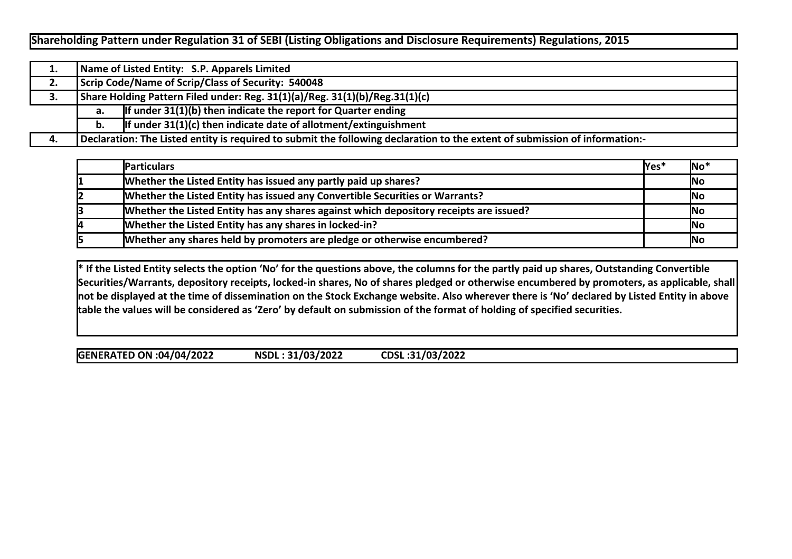**Shareholding Pattern under Regulation 31 of SEBI (Listing Obligations and Disclosure Requirements) Regulations, 2015**

|    |    | Name of Listed Entity: S.P. Apparels Limited                                                                                |  |  |  |  |  |  |  |  |  |  |
|----|----|-----------------------------------------------------------------------------------------------------------------------------|--|--|--|--|--|--|--|--|--|--|
| 2. |    | Scrip Code/Name of Scrip/Class of Security: 540048                                                                          |  |  |  |  |  |  |  |  |  |  |
| З. |    | Share Holding Pattern Filed under: Reg. 31(1)(a)/Reg. 31(1)(b)/Reg.31(1)(c)                                                 |  |  |  |  |  |  |  |  |  |  |
|    | а. | If under $31(1)(b)$ then indicate the report for Quarter ending                                                             |  |  |  |  |  |  |  |  |  |  |
|    | b. | If under $31(1)(c)$ then indicate date of allotment/extinguishment                                                          |  |  |  |  |  |  |  |  |  |  |
| 4. |    | Declaration: The Listed entity is required to submit the following declaration to the extent of submission of information:- |  |  |  |  |  |  |  |  |  |  |

|    | <b>Particulars</b>                                                                     | $Yes*$ | $\overline{\mathsf{No}}^*$ |
|----|----------------------------------------------------------------------------------------|--------|----------------------------|
|    | Whether the Listed Entity has issued any partly paid up shares?                        |        | <b>No</b>                  |
| 12 | Whether the Listed Entity has issued any Convertible Securities or Warrants?           |        | No                         |
| l3 | Whether the Listed Entity has any shares against which depository receipts are issued? |        | No                         |
| 14 | Whether the Listed Entity has any shares in locked-in?                                 |        | <b>No</b>                  |
| 15 | Whether any shares held by promoters are pledge or otherwise encumbered?               |        | No                         |

**\* If the Listed Entity selects the option 'No' for the questions above, the columns for the partly paid up shares, Outstanding Convertible Securities/Warrants, depository receipts, locked-in shares, No of shares pledged or otherwise encumbered by promoters, as applicable, shall not be displayed at the time of dissemination on the Stock Exchange website. Also wherever there is 'No' declared by Listed Entity in above table the values will be considered as 'Zero' by default on submission of the format of holding of specified securities.**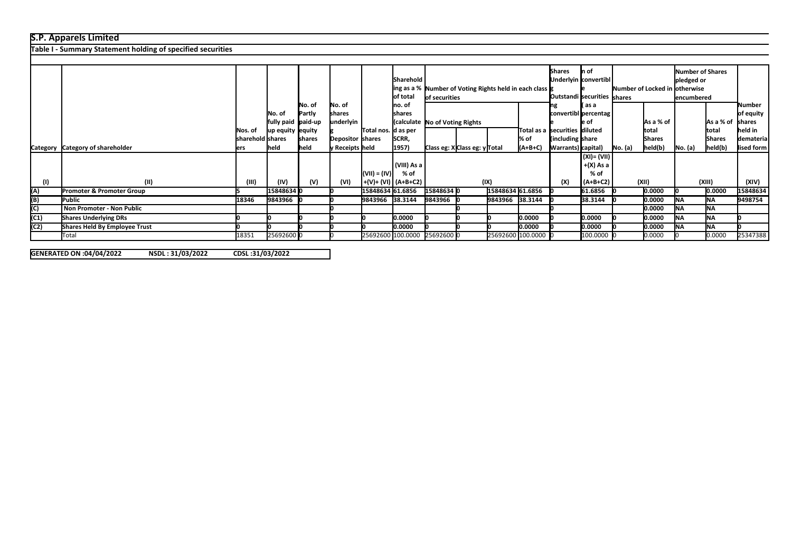## **S.P. Apparels Limited**

**Table I - Summary Statement holding of specified securities**

|      |                                  |                  |                    |        |                  |                     |             |                                                          |                |                  |                               | <b>Shares</b>      | In of                |                               |                                  | Number of Shares |                  |            |
|------|----------------------------------|------------------|--------------------|--------|------------------|---------------------|-------------|----------------------------------------------------------|----------------|------------------|-------------------------------|--------------------|----------------------|-------------------------------|----------------------------------|------------------|------------------|------------|
|      |                                  |                  |                    |        |                  |                     | Sharehold   |                                                          |                |                  |                               |                    | Underlyin convertibl |                               |                                  | pledged or       |                  |            |
|      |                                  |                  |                    |        |                  |                     |             | ling as a % Number of Voting Rights held in each class g |                |                  |                               |                    |                      | Number of Locked in otherwise |                                  |                  |                  |            |
|      |                                  |                  |                    |        |                  |                     | of total    |                                                          | lof securities |                  |                               |                    |                      | Outstandi securities Ishares  |                                  | lencumbered      |                  |            |
|      |                                  |                  |                    | No. of | No. of           |                     | Ino. of     |                                                          |                |                  |                               |                    | I(as a               |                               |                                  |                  |                  | lNumber    |
|      |                                  |                  | No. of             | Partly | shares           |                     | Ishares     |                                                          |                |                  |                               |                    | convertibl percentag |                               |                                  |                  |                  | of equity  |
|      |                                  |                  | fully paid paid-up |        | underlyin        |                     |             | (calculate No of Voting Rights                           |                |                  |                               |                    | le of                |                               | As a % of                        |                  | As a % of shares |            |
|      |                                  | Nos. of          | up equity lequity  |        |                  | Total nos. d as per |             |                                                          |                |                  | Total as a securities diluted |                    |                      |                               | ltotal                           |                  | Itotal           | lheld in   |
|      |                                  | sharehold shares |                    | shares | Depositor shares |                     | SCRR,       |                                                          |                |                  | % of                          | including share)   |                      |                               | <b>Shares</b>                    |                  | Shares           | demateria  |
|      | Category Category of shareholder | lers             | held               | held   | y Receipts held  |                     | 1957)       | Class eg: XClass eg: yTotal                              |                |                  | $(A+B+C)$                     | Warrants) capital) |                      | No. (a)                       | $\vert$ held $\vert$ b $\rangle$ | No. (a)          | held(b)          | lised form |
|      |                                  |                  |                    |        |                  |                     |             |                                                          |                |                  |                               |                    |                      |                               |                                  |                  |                  |            |
|      |                                  |                  |                    |        |                  |                     | (VIII) As a |                                                          |                |                  |                               |                    | $+(X)$ As a          |                               |                                  |                  |                  |            |
|      |                                  |                  |                    |        |                  | (VII) = (IV)        | % of        |                                                          |                |                  |                               |                    | $%$ of               |                               |                                  |                  |                  |            |
| (1)  | (11)                             | (III)            | (IV)               | (V)    | (VI)             |                     |             |                                                          |                | (IX)             |                               | (X)                | $(A+B+C2)$           |                               | (XII)                            |                  | (XIII)           | (XIV)      |
| (A)  | Promoter & Promoter Group        |                  | 15848634 0         |        |                  | 15848634 61.6856    |             | 158486340                                                |                | 15848634 61.6856 |                               |                    | 61.6856              |                               | 0.0000                           |                  | 0.0000           | 15848634   |
| (B)  | lPublic                          | 18346            | 9843966            |        |                  | 9843966 38.3144     |             | 9843966                                                  |                | 9843966 38.3144  |                               |                    | 38.3144              |                               | 0.0000                           | <b>INA</b>       | <b>INA</b>       | 9498754    |
| (C)  | Non Promoter - Non Public        |                  |                    |        |                  |                     |             |                                                          |                |                  |                               |                    |                      |                               | 0.0000                           | INA.             | <b>INA</b>       |            |
| (C1) | <b>Shares Underlying DRs</b>     |                  |                    |        |                  |                     | 0.0000      |                                                          |                |                  | 0.0000                        |                    | 0.0000               |                               | 0.0000                           | <b>INA</b>       | <b>NA</b>        |            |
| (C2) | Shares Held By Employee Trust    |                  |                    |        |                  |                     | 0.0000      |                                                          |                |                  | 0.0000                        |                    | 0.0000               |                               | 0.0000                           | INA.             | <b>NA</b>        |            |
|      | Total                            | 18351            | 25692600 0         |        |                  |                     |             | 25692600 100.0000 25692600 0                             |                |                  | 25692600 100.0000             |                    | 100.0000             |                               | 0.0000                           |                  | 0.0000           | 25347388   |

**% assuming full**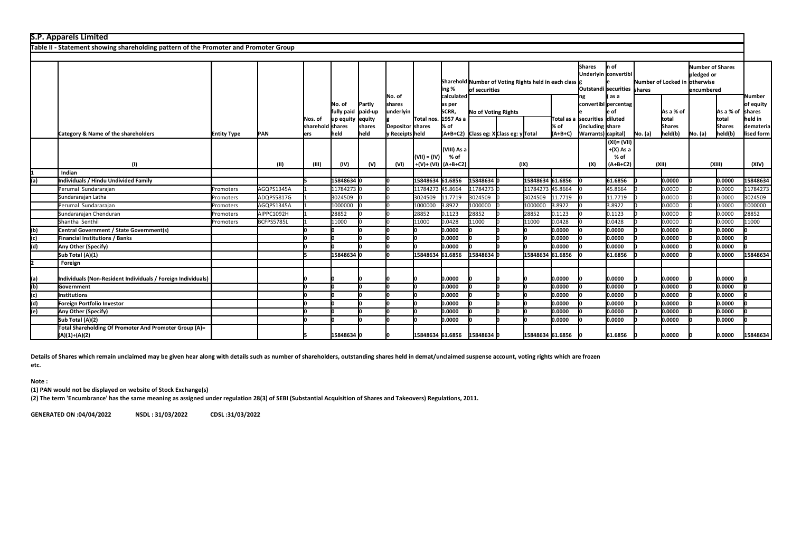|     | <b>S.P. Apparels Limited</b>                                                         |                    |            |                                      |                                                          |                          |                                                            |                                      |                                                 |                                                              |      |                  |                   |                                                                          |                                                  |         |                                                |               |                                                                      |                                                           |                               |                                               |  |        |
|-----|--------------------------------------------------------------------------------------|--------------------|------------|--------------------------------------|----------------------------------------------------------|--------------------------|------------------------------------------------------------|--------------------------------------|-------------------------------------------------|--------------------------------------------------------------|------|------------------|-------------------|--------------------------------------------------------------------------|--------------------------------------------------|---------|------------------------------------------------|---------------|----------------------------------------------------------------------|-----------------------------------------------------------|-------------------------------|-----------------------------------------------|--|--------|
|     | Table II - Statement showing shareholding pattern of the Promoter and Promoter Group |                    |            |                                      |                                                          |                          |                                                            |                                      |                                                 |                                                              |      |                  |                   |                                                                          |                                                  |         |                                                |               |                                                                      |                                                           |                               |                                               |  |        |
|     |                                                                                      |                    |            |                                      |                                                          |                          |                                                            |                                      |                                                 |                                                              |      |                  |                   |                                                                          |                                                  |         |                                                |               |                                                                      |                                                           |                               |                                               |  |        |
|     |                                                                                      |                    |            |                                      |                                                          |                          | No. of                                                     | ing %<br>of securities<br>calculated |                                                 |                                                              |      |                  |                   | Sharehold Number of Voting Rights held in each class 8                   |                                                  |         |                                                | <b>Shares</b> | In of<br>Underlyin convertibl<br>Outstandi securities shares<br>as a |                                                           | Number of Locked in otherwise | Number of Shares<br>pledged or<br>lencumbered |  | Number |
|     | Category & Name of the shareholders                                                  | <b>Entity Type</b> | PAN        | 'Nos. of<br>sharehold İshares<br>ers | No. of<br>fully paid paid-up<br>up equity equity<br>held | Partly<br>shares<br>held | shares<br>underlyin<br>Depositor shares<br>y Receipts held |                                      | as per<br>SCRR,<br>Total nos. 1957 As a<br>% of | No of Voting Rights<br>(A+B+C2) Class eg: XClass eg: y Total |      |                  | % of<br>$(A+B+C)$ | Total as a securities diluted<br>lincluding Ishare<br>Warrants) capital) | convertibl percentag<br>e of                     | No. (a) | As a % of<br>total<br><b>Shares</b><br>held(b) | No. (a)       | As a % of<br>total<br><b>Shares</b><br>held(b)                       | of equity<br>shares<br>held in<br>demateria<br>lised form |                               |                                               |  |        |
|     | (1)                                                                                  |                    | (II)       | (III)                                | (IV)                                                     | (V)                      | (VI)                                                       | $(VII) = (IV)$                       | (VIII) As a<br>% of<br>$+ (V) + (VI)$ (A+B+C2)  |                                                              | (IX) |                  |                   | (X)                                                                      | (XI)= (VII)<br>$+(X)$ As a<br>% of<br>$(A+B+C2)$ |         | (XII)                                          |               | (XIII)                                                               | (XIV)                                                     |                               |                                               |  |        |
|     | Indian                                                                               |                    |            |                                      |                                                          |                          |                                                            |                                      |                                                 |                                                              |      |                  |                   |                                                                          |                                                  |         |                                                |               |                                                                      |                                                           |                               |                                               |  |        |
| (a) | Individuals / Hindu Undivided Family                                                 |                    |            |                                      | 15848634 0                                               |                          |                                                            | 15848634 61.6856                     |                                                 | 15848634 0                                                   |      | 15848634 61.6856 |                   |                                                                          | 61.6856                                          |         | 0.0000                                         |               | 0.0000                                                               | 15848634                                                  |                               |                                               |  |        |
|     | Perumal Sundararajan                                                                 | Promoters          | AGQPS1345A |                                      | 11784273                                                 |                          |                                                            | 11784273 45.8664                     |                                                 | 11784273                                                     |      | 11784273         | 45.8664           |                                                                          | 45.8664                                          |         | 0.0000                                         |               | 0.0000                                                               | $\sqrt{11784273}$                                         |                               |                                               |  |        |
|     | Sundararajan Latha                                                                   | Promoters          | ADQPS5817G |                                      | 3024509                                                  |                          |                                                            | 3024509                              | 11.7719                                         | 3024509                                                      |      | 3024509          | 11.7719           |                                                                          | 11.7719                                          |         | 0.0000                                         |               | 0.0000                                                               | 3024509                                                   |                               |                                               |  |        |
|     | Perumal Sundararajan                                                                 | Promoters          | AGQPS1345A |                                      | 1000000                                                  |                          |                                                            | 1000000                              | 3.8922                                          | 1000000                                                      |      | 1000000          | 3.8922            |                                                                          | 3.8922                                           |         | 0.0000                                         |               | 0.0000                                                               | 1000000                                                   |                               |                                               |  |        |
|     | Sundararajan Chenduran                                                               | Promoters          | AIPPC1092H |                                      | 28852                                                    |                          |                                                            | 28852                                | 0.1123                                          | 28852                                                        |      | 28852            | 0.1123            |                                                                          | 0.1123                                           |         | 0.0000                                         |               | 0.0000                                                               | 28852                                                     |                               |                                               |  |        |
|     | Shantha Senthil                                                                      | Promoters          | BCFPS5785L |                                      | 11000                                                    |                          |                                                            | 11000                                | 0.0428                                          | 11000                                                        |      | 11000            | 0.0428            |                                                                          | 0.0428                                           |         | 0.0000                                         |               | 0.0000                                                               | 11000                                                     |                               |                                               |  |        |
| (b) | Central Government / State Government(s)                                             |                    |            |                                      |                                                          |                          |                                                            |                                      | 0.0000                                          |                                                              |      |                  | 0.0000            |                                                                          | 0.0000                                           |         | 0.0000                                         |               | 0.0000                                                               |                                                           |                               |                                               |  |        |
| (c) | Financial Institutions / Banks                                                       |                    |            |                                      |                                                          |                          |                                                            |                                      | 0.0000                                          |                                                              |      |                  | lo.oooo           |                                                                          | 0.0000                                           |         | 0.0000                                         |               | 0.0000                                                               |                                                           |                               |                                               |  |        |
| (d) | Any Other (Specify)                                                                  |                    |            |                                      |                                                          |                          |                                                            |                                      | 0.0000                                          |                                                              |      |                  | lo.oooo           |                                                                          | 0.0000                                           |         | 0.0000                                         |               | 0.0000                                                               |                                                           |                               |                                               |  |        |
|     | Sub Total (A)(1)                                                                     |                    |            |                                      | 15848634 0                                               |                          |                                                            | 15848634 61.6856                     |                                                 | 15848634 0                                                   |      | 15848634 61.6856 |                   |                                                                          | 61.6856                                          |         | 0.0000                                         |               | lo.oooo                                                              | 15848634                                                  |                               |                                               |  |        |
|     | Foreign                                                                              |                    |            |                                      |                                                          |                          |                                                            |                                      |                                                 |                                                              |      |                  |                   |                                                                          |                                                  |         |                                                |               |                                                                      |                                                           |                               |                                               |  |        |
| (a) | Individuals (Non-Resident Individuals / Foreign Individuals)                         |                    |            |                                      |                                                          |                          |                                                            |                                      | 0.0000                                          |                                                              |      |                  | 0.0000            |                                                                          | 0.0000                                           |         | 0.0000                                         |               | 0.0000                                                               |                                                           |                               |                                               |  |        |
| (b) | Government                                                                           |                    |            |                                      |                                                          |                          |                                                            |                                      | 0.0000                                          |                                                              |      |                  | lo.oooo           |                                                                          | 0.0000                                           |         | 0.0000                                         |               | 0.0000                                                               |                                                           |                               |                                               |  |        |
| (c) | <b>Institutions</b>                                                                  |                    |            |                                      |                                                          |                          |                                                            |                                      | 0.0000                                          |                                                              |      |                  | 0.0000            |                                                                          | 0.0000                                           |         | 0.0000                                         |               | 0.0000                                                               |                                                           |                               |                                               |  |        |
| (d) | Foreign Portfolio Investor                                                           |                    |            |                                      |                                                          |                          |                                                            |                                      | 0.0000                                          |                                                              |      |                  | 10.0000           |                                                                          | 0.0000                                           |         | 0.0000                                         |               | 0.0000                                                               |                                                           |                               |                                               |  |        |
| (e) | Any Other (Specify)                                                                  |                    |            |                                      |                                                          |                          |                                                            |                                      | 0.0000                                          |                                                              |      |                  | 0.0000            |                                                                          | 0.0000                                           |         | 0.0000                                         |               | 0.0000                                                               |                                                           |                               |                                               |  |        |
|     | Sub Total (A)(2)                                                                     |                    |            |                                      |                                                          |                          |                                                            |                                      | 0.0000                                          |                                                              |      |                  | 10.0000           |                                                                          | 0.0000                                           |         | 0.0000                                         |               | 0.0000                                                               |                                                           |                               |                                               |  |        |
|     | Total Shareholding Of Promoter And Promoter Group (A)=<br>(A)(1)+(A)(2)              |                    |            |                                      | 15848634 0                                               |                          |                                                            | 15848634 61.6856                     |                                                 | 15848634 0                                                   |      | 15848634 61.6856 |                   |                                                                          | 61.6856                                          |         | 0.0000                                         |               | 0.0000                                                               | 15848634                                                  |                               |                                               |  |        |

**Details of Shares which remain unclaimed may be given hear along with details such as number of shareholders, outstanding shares held in demat/unclaimed suspense account, voting rights which are frozen** 

**etc.**

**Note :**

**(1) PAN would not be displayed on website of Stock Exchange(s)** 

**(2) The term 'Encumbrance' has the same meaning as assigned under regulation 28(3) of SEBI (Substantial Acquisition of Shares and Takeovers) Regulations, 2011.**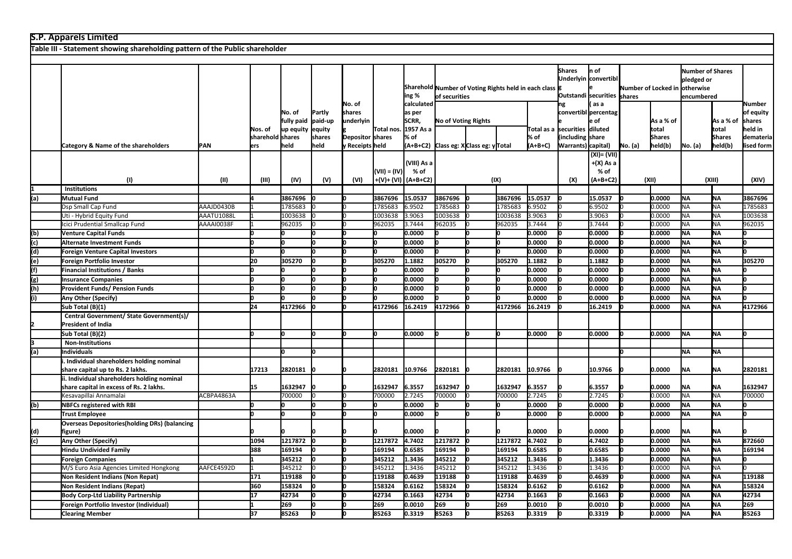|     | <b>S.P. Apparels Limited</b>                                                           |            |                             |                                           |                            |                                     |              |                                              |                            |                                                                         |              |                    |                                               |                                                              |         |                               |                        |                                                     |                                                       |
|-----|----------------------------------------------------------------------------------------|------------|-----------------------------|-------------------------------------------|----------------------------|-------------------------------------|--------------|----------------------------------------------|----------------------------|-------------------------------------------------------------------------|--------------|--------------------|-----------------------------------------------|--------------------------------------------------------------|---------|-------------------------------|------------------------|-----------------------------------------------------|-------------------------------------------------------|
|     | Table III - Statement showing shareholding pattern of the Public shareholder           |            |                             |                                           |                            |                                     |              |                                              |                            |                                                                         |              |                    |                                               |                                                              |         |                               |                        |                                                     |                                                       |
|     |                                                                                        |            |                             |                                           |                            |                                     |              |                                              |                            |                                                                         |              |                    |                                               |                                                              |         |                               |                        |                                                     |                                                       |
|     |                                                                                        |            |                             |                                           |                            |                                     |              | ing %                                        |                            | Sharehold Number of Voting Rights held in each class B<br>of securities |              |                    | Shares                                        | In of<br>Underlyin convertibl<br>Outstandi securities shares |         | Number of Locked in otherwise |                        | <b>Number of Shares</b><br>pledged or<br>encumbered |                                                       |
|     |                                                                                        |            | Nos. of<br>sharehold shares | No. of<br>fully paid paid-up<br>up equity | Partly<br>equity<br>shares | No. of<br>shares<br>underlyin       | Total nos    | calculated<br>as per<br>SCRR,<br>1957 As a   | <b>No of Voting Rights</b> |                                                                         |              | Total as a<br>% of | ng<br>securities diluted<br>(including share) | l as a<br>convertibl percentag<br>le of                      |         | As a % of<br>total<br>Shares  |                        | As a % of<br>total<br><b>Shares</b>                 | Number<br>of equity<br>shares<br>held in<br>demateria |
|     | Category & Name of the shareholders                                                    | PAN        | ers                         | heid.                                     | held                       | Depositor shares<br>y Receipts held |              | % of                                         |                            |                                                                         |              | (A+B+C)            | Warrants) capital)                            |                                                              | No. (a) | held(b)                       | No. (a)                | held(b)                                             | lised form                                            |
|     | (1)                                                                                    | (II)       | (III)                       | (IV)                                      | (V)                        | (VI)                                | (VII) = (IV) | (VIII) As a<br>% of<br>+(V)+ (VI)   (A+B+C2) |                            | (A+B+C2) Class eg: X Class eg: y Total<br>(IX)                          |              |                    | (X)                                           | $(XI) = (VII)$<br>$+(X)$ As a<br>% of<br>$(A+B+C2)$          | (XII)   |                               | (XIII)                 |                                                     | (XIV)                                                 |
|     | <b>Institutions</b>                                                                    |            |                             |                                           |                            |                                     |              |                                              |                            |                                                                         |              |                    |                                               |                                                              |         |                               |                        |                                                     |                                                       |
| (a) | Mutual Fund                                                                            |            |                             | 3867696                                   |                            |                                     | 3867696      | 15.0537                                      | 3867696                    |                                                                         | 3867696      | 15.0537            |                                               | 15.0537                                                      |         | 0.0000                        | <b>NA</b>              | <b>NA</b>                                           | 3867696                                               |
|     | Dsp Small Cap Fund                                                                     | AAAJD0430B |                             | 1785683                                   |                            |                                     | 1785683      | 6.9502                                       | 1785683                    |                                                                         | 1785683      | 6.9502             |                                               | 6.9502                                                       |         | 0.0000                        | <b>NA</b>              | NΑ                                                  | 1785683                                               |
|     | Uti - Hybrid Equity Fund                                                               | AAATU1088L |                             | 1003638                                   |                            |                                     | 1003638      | 3.9063                                       | 1003638                    |                                                                         | 1003638      | 3.9063             |                                               | 3.9063                                                       |         | 0.0000                        | <b>NA</b>              | <b>NA</b>                                           | 1003638                                               |
|     | Icici Prudential Smallcap Fund                                                         | AAAAI0038F |                             | 962035                                    |                            |                                     | 962035       | 3.7444                                       | 962035                     |                                                                         | 962035       | 3.7444             |                                               | 3.7444                                                       |         | 0.0000                        | <b>NA</b>              | <b>NA</b>                                           | 962035                                                |
| (b) | <b>Venture Capital Funds</b>                                                           |            |                             |                                           |                            |                                     |              | 0.0000                                       |                            |                                                                         |              | 0.0000             |                                               | 0.0000                                                       |         | 0.0000                        | <b>NA</b>              | NΑ                                                  |                                                       |
| (c) | Alternate Investment Funds                                                             |            |                             | lo                                        |                            |                                     |              | 0.0000                                       |                            |                                                                         |              | 10.0000            |                                               | 0.0000                                                       |         | 0.0000                        | <b>NA</b>              | $\overline{NA}$                                     |                                                       |
| (d) | Foreign Venture Capital Investors                                                      |            |                             |                                           |                            |                                     |              | 0.0000                                       |                            |                                                                         |              | 0.0000             |                                               | 0.0000                                                       |         | 0.0000                        | <b>NA</b>              | <b>NA</b>                                           |                                                       |
| (e) | Foreign Portfolio Investor                                                             |            | 20                          | 305270                                    |                            |                                     | 305270       | 1.1882                                       | 305270                     |                                                                         | 305270       | 1.1882             |                                               | 1.1882                                                       |         | 0.0000                        | <b>NA</b>              | <b>ΝΑ</b>                                           | 305270                                                |
| (f) | <b>Financial Institutions / Banks</b>                                                  |            |                             | 10                                        |                            |                                     |              | 0.0000                                       |                            |                                                                         |              | 0.0000             |                                               | 0.0000                                                       |         | 0.0000                        | <b>NA</b>              | <b>NA</b>                                           |                                                       |
| (g) | <b>Insurance Companies</b>                                                             |            | n                           | lo                                        |                            |                                     |              | 0.0000                                       |                            |                                                                         |              | 0.0000             |                                               | 0.0000                                                       |         | 0.0000                        | <b>NA</b>              | <b>NA</b>                                           | n                                                     |
| (h) | Provident Funds/ Pension Funds                                                         |            |                             | lо                                        |                            |                                     |              | 0.0000                                       |                            |                                                                         |              | 0.0000             |                                               | 0.0000                                                       |         | 0.0000                        | <b>NA</b>              | <b>NA</b>                                           |                                                       |
|     | <b>Any Other (Specify)</b>                                                             |            |                             |                                           |                            |                                     |              | 0.0000                                       |                            |                                                                         |              | 0.0000             |                                               | 0.0000                                                       |         | 0.0000                        | <b>NA</b>              | NA                                                  |                                                       |
|     | Sub Total (B)(1)                                                                       |            | 24                          | 4172966                                   |                            |                                     | 4172966      | 16.2419                                      | 4172966                    |                                                                         | 4172966      | 16.2419            |                                               | 16.2419                                                      |         | 0.0000                        | <b>NA</b>              | <b>NA</b>                                           | 4172966                                               |
|     | Central Government/ State Government(s)/<br><b>President of India</b>                  |            |                             |                                           |                            |                                     |              |                                              |                            |                                                                         |              |                    |                                               |                                                              |         |                               |                        |                                                     |                                                       |
|     | Sub Total (B)(2)                                                                       |            |                             |                                           |                            |                                     |              | 0.0000                                       |                            |                                                                         |              | 10.0000            |                                               | 0.0000                                                       |         | 0.0000                        | lna                    | <b>NA</b>                                           |                                                       |
|     | <b>Non-Institutions</b>                                                                |            |                             |                                           |                            |                                     |              |                                              |                            |                                                                         |              |                    |                                               |                                                              |         |                               |                        |                                                     |                                                       |
| (a) | Individuals                                                                            |            |                             |                                           |                            |                                     |              |                                              |                            |                                                                         |              |                    |                                               |                                                              |         |                               | lna                    | <b>NA</b>                                           |                                                       |
|     | Individual shareholders holding nominal<br>share capital up to Rs. 2 lakhs.            |            | 17213                       | 2820181                                   |                            |                                     | 2820181      | 10.9766                                      | 2820181                    |                                                                         | 2820181      | 10.9766            |                                               | 10.9766                                                      |         | 0.0000                        | <b>INA</b>             | <b>NA</b>                                           | 2820181                                               |
|     | ii. Individual shareholders holding nominal<br>share capital in excess of Rs. 2 lakhs. |            | 15                          | 1632947                                   |                            |                                     | 1632947      | 6.3557                                       | 1632947                    |                                                                         | 1632947      | 6.3557             |                                               | 6.3557                                                       |         | 0.0000                        | <b>NA</b>              | <b>NA</b>                                           | 1632947                                               |
|     | Kesavapillai Annamalai                                                                 | ACBPA4863A |                             | 700000                                    |                            |                                     | 700000       | 2.7245                                       | 700000                     |                                                                         | 700000       | 2.7245             |                                               | 2.7245                                                       |         | 0.0000                        | <b>NA</b>              | NΑ                                                  | 700000                                                |
| (b) | <b>NBFCs registered with RBI</b>                                                       |            |                             |                                           |                            |                                     |              | 0.0000                                       |                            |                                                                         |              | 0.0000             |                                               | 0.0000                                                       |         | 0.0000                        | <b>NA</b>              | <b>ΝΑ</b>                                           |                                                       |
|     | <b>Trust Employee</b>                                                                  |            |                             |                                           |                            |                                     |              | 0.0000                                       |                            |                                                                         |              | 0.0000             |                                               | 0.0000                                                       |         | 0.0000                        | <b>NA</b>              | <b>NA</b>                                           | n                                                     |
|     | <b>Overseas Depositories (holding DRs) (balancing</b>                                  |            |                             |                                           |                            |                                     |              |                                              |                            |                                                                         |              |                    |                                               |                                                              |         |                               |                        |                                                     |                                                       |
| (d) | figure)                                                                                |            |                             |                                           |                            |                                     |              | 0.0000                                       |                            |                                                                         |              | 0.0000             |                                               | 0.0000                                                       |         | 0.0000                        | <b>NA</b>              | ΝA                                                  |                                                       |
| (c) | Any Other (Specify)                                                                    |            | 1094                        | 1217872                                   |                            |                                     | 1217872      | 4.7402                                       | 1217872                    |                                                                         | 1217872      | 4.7402             |                                               | 4.7402                                                       |         | 0.0000                        | <b>NA</b>              | <b>NA</b>                                           | 872660                                                |
|     | <b>Hindu Undivided Family</b>                                                          |            | 388                         | 169194                                    |                            |                                     | 169194       | 0.6585                                       | 169194                     |                                                                         | 169194       | 0.6585             |                                               | 0.6585                                                       |         | 0.0000                        | <b>NA</b>              | NΑ                                                  | 169194                                                |
|     | <b>Foreign Companies</b>                                                               |            |                             | 345212                                    |                            |                                     | 345212       | 1.3436                                       | 345212                     |                                                                         | 345212       | 1.3436             |                                               | 1.3436                                                       |         | 0.0000                        | <b>NA</b>              | <b>NA</b>                                           | n                                                     |
|     | M/S Euro Asia Agencies Limited Hongkong                                                | AAFCE4592D |                             | 345212                                    |                            |                                     | 345212       | 1.3436                                       | 345212                     |                                                                         | 345212       | 1.3436             |                                               | L.3436                                                       |         | 0.0000                        | <b>NA</b>              | ΝA                                                  |                                                       |
|     | Non Resident Indians (Non Repat)                                                       |            | 171                         | 119188                                    |                            |                                     | 119188       | 0.4639                                       | 119188                     |                                                                         | 119188       | 0.4639             |                                               | 0.4639                                                       |         | 0.0000                        | lna                    | <b>NA</b>                                           | 119188                                                |
|     | Non Resident Indians (Repat)                                                           |            | 360<br>17                   | 158324                                    |                            |                                     | 158324       | 0.6162                                       | 158324                     |                                                                         | 158324       | 0.6162             |                                               | 0.6162                                                       |         | 0.0000                        | <b>NA</b>              | <b>NA</b>                                           | 158324                                                |
|     | <b>Body Corp-Ltd Liability Partnership</b>                                             |            |                             | 42734                                     |                            |                                     | 42734        | 0.1663                                       | 42734<br>269               |                                                                         | 42734<br>269 | 0.1663             |                                               | 0.1663                                                       |         | 0.0000                        | <b>NA</b>              | <b>NA</b>                                           | 42734                                                 |
|     | Foreign Portfolio Investor (Individual)                                                |            |                             | 269<br>85263                              | lо                         |                                     | 269<br>85263 | 0.0010<br>0.3319                             |                            | lо                                                                      | 85263        | 0.0010<br>0.3319   |                                               | 0.0010<br>0.3319                                             | In      | 0.0000<br>0.0000              | <b>NA</b><br><b>NA</b> | <b>NA</b><br><b>NA</b>                              | 269<br>85263                                          |
|     | <b>Clearing Member</b>                                                                 |            | 37                          |                                           |                            |                                     |              |                                              | 85263                      |                                                                         |              |                    |                                               |                                                              |         |                               |                        |                                                     |                                                       |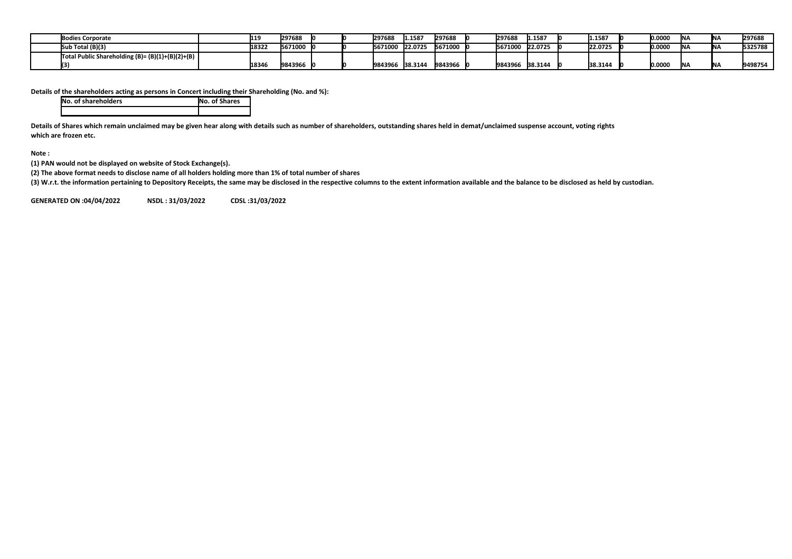| <b>IBodies Corporate</b>                           | 119  | 297688  |  | 297688  | 1.1587  | 297688     | 297688          | 1.1587  | 1.1587  | lo.0000 | <b>INA</b> | İΝΑ        | 297688  |
|----------------------------------------------------|------|---------|--|---------|---------|------------|-----------------|---------|---------|---------|------------|------------|---------|
| Sub Total (B)(3)                                   | 1832 | 5671000 |  | 5671000 | 22.0725 | 5671000 l0 | 5671000 22.0725 |         | 22.0725 | lo.0000 | <b>INA</b> | <b>INA</b> | 5325788 |
| Total Public Shareholding (B)= $(B)(1)+(B)(2)+(B)$ | 1834 | 9843966 |  | 9843966 | 38.3144 | 9843966 0  | 9843966         | 38.3144 | 38.3144 | 0.0000  | <b>INA</b> | <b>INA</b> | 9498754 |

**Details of the shareholders acting as persons in Concert including their Shareholding (No. and %):**

| No. of shareholders | <b>No. of Shares</b> |
|---------------------|----------------------|
|                     |                      |

**Details of Shares which remain unclaimed may be given hear along with details such as number of shareholders, outstanding shares held in demat/unclaimed suspense account, voting rights which are frozen etc.**

**Note :**

**(1) PAN would not be displayed on website of Stock Exchange(s).** 

**(2) The above format needs to disclose name of all holders holding more than 1% of total number of shares**

**(3) W.r.t. the information pertaining to Depository Receipts, the same may be disclosed in the respective columns to the extent information available and the balance to be disclosed as held by custodian.**